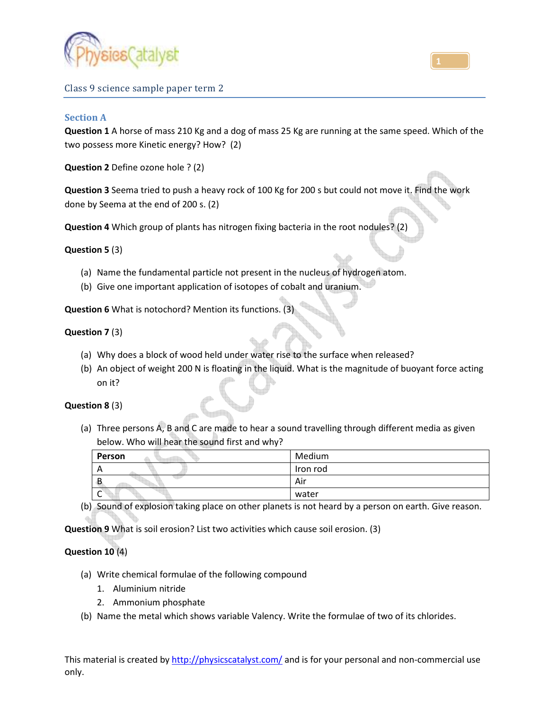

Class 9 science sample paper term 2

### **Section A**

**Question 1** A horse of mass 210 Kg and a dog of mass 25 Kg are running at the same speed. Which of the two possess more Kinetic energy? How? (2)

**Question 2** Define ozone hole ? (2)

**Question 3** Seema tried to push a heavy rock of 100 Kg for 200 s but could not move it. Find the work done by Seema at the end of 200 s. (2)

**Question 4** Which group of plants has nitrogen fixing bacteria in the root nodules? (2)

### **Question 5** (3)

- (a) Name the fundamental particle not present in the nucleus of hydrogen atom.
- (b) Give one important application of isotopes of cobalt and uranium.

**Question 6** What is notochord? Mention its functions. (3)

### **Question 7** (3)

- (a) Why does a block of wood held under water rise to the surface when released?
- (b) An object of weight 200 N is floating in the liquid. What is the magnitude of buoyant force acting on it?

#### **Question 8** (3)

(a) Three persons A, B and C are made to hear a sound travelling through different media as given below. Who will hear the sound first and why?

| Person         | Medium   |
|----------------|----------|
| $\overline{ }$ | Iron rod |
| 42             | Air      |
| ∼              | water    |

(b) Sound of explosion taking place on other planets is not heard by a person on earth. Give reason.

**Question 9** What is soil erosion? List two activities which cause soil erosion. (3)

### **Question 10** (4)

- (a) Write chemical formulae of the following compound
	- 1. Aluminium nitride
	- 2. Ammonium phosphate
- (b) Name the metal which shows variable Valency. Write the formulae of two of its chlorides.

This material is created by http://physicscatalyst.com/ and is for your personal and non-commercial use only.

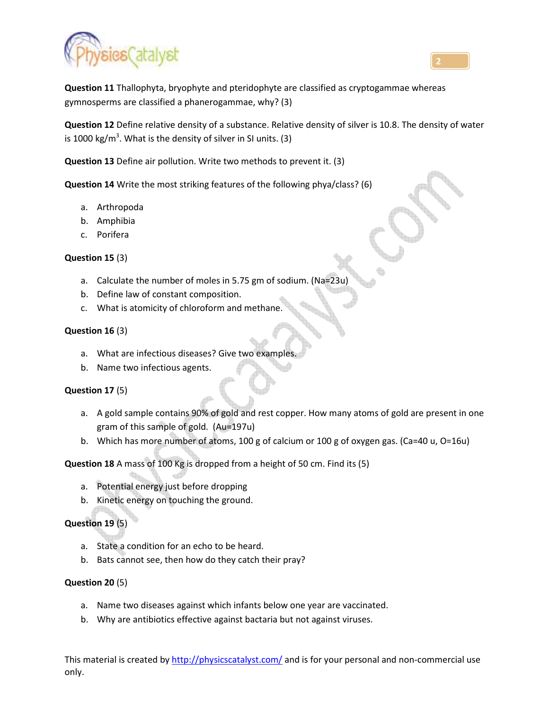



**Question 11** Thallophyta, bryophyte and pteridophyte are classified as cryptogammae whereas gymnosperms are classified a phanerogammae, why? (3)

**Question 12** Define relative density of a substance. Relative density of silver is 10.8. The density of water is 1000 kg/m<sup>3</sup>. What is the density of silver in SI units. (3)

**Question 13** Define air pollution. Write two methods to prevent it. (3)

**Question 14** Write the most striking features of the following phya/class? (6)

- a. Arthropoda
- b. Amphibia
- c. Porifera

### **Question 15** (3)

- a. Calculate the number of moles in 5.75 gm of sodium. (Na=23
- b. Define law of constant composition.
- c. What is atomicity of chloroform and methane.

### **Question 16** (3)

- a. What are infectious diseases? Give two examples.
- b. Name two infectious agents.

### **Question 17** (5)

- a. A gold sample contains 90% of gold and rest copper. How many atoms of gold are present in one gram of this sample of gold. (Au=197u)
- b. Which has more number of atoms, 100 g of calcium or 100 g of oxygen gas. (Ca=40 u, O=16u)

**Question 18** A mass of 100 Kg is dropped from a height of 50 cm. Find its (5)

- a. Potential energy just before dropping
- b. Kinetic energy on touching the ground.

# **Question 19** (5)

- a. State a condition for an echo to be heard.
- b. Bats cannot see, then how do they catch their pray?

### **Question 20** (5)

- a. Name two diseases against which infants below one year are vaccinated.
- b. Why are antibiotics effective against bactaria but not against viruses.

This material is created by http://physicscatalyst.com/ and is for your personal and non-commercial use only.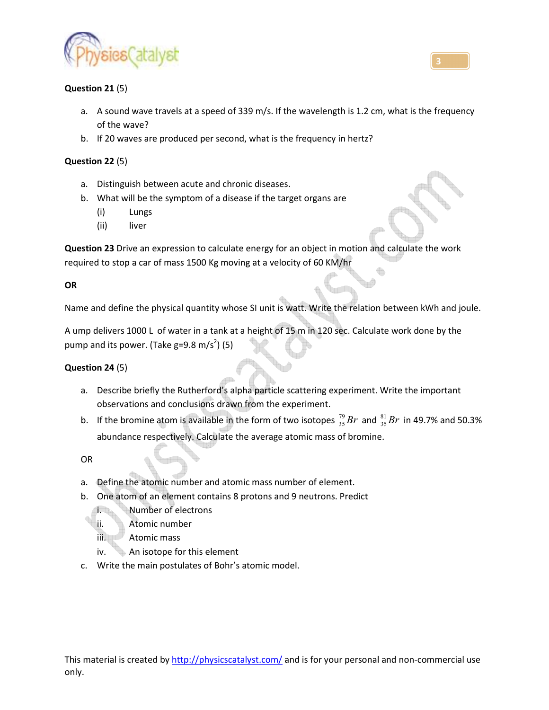

## **Question 21** (5)

- a. A sound wave travels at a speed of 339 m/s. If the wavelength is 1.2 cm, what is the frequency of the wave?
- b. If 20 waves are produced per second, what is the frequency in hertz?

## **Question 22** (5)

- a. Distinguish between acute and chronic diseases.
- b. What will be the symptom of a disease if the target organs are
	- (i) Lungs
	- (ii) liver

**Question 23** Drive an expression to calculate energy for an object in motion and calculate the work required to stop a car of mass 1500 Kg moving at a velocity of 60 KM/hr

## **OR**

Name and define the physical quantity whose SI unit is watt. Write the relation between kWh and joule.

A ump delivers 1000 L of water in a tank at a height of 15 m in 120 sec. Calculate work done by the pump and its power. (Take g=9.8 m/s<sup>2</sup>) (5)

### **Question 24** (5)

- a. Describe briefly the Rutherford's alpha particle scattering experiment. Write the important observations and conclusions drawn from the experiment.
- b. If the bromine atom is available in the form of two isotopes  $^{79}_{35}Br$  and  $^{81}_{35}Br$  in 49.7% and 50.3% abundance respectively. Calculate the average atomic mass of bromine.

OR

- a. Define the atomic number and atomic mass number of element.
- b. One atom of an element contains 8 protons and 9 neutrons. Predict
	- i. Number of electrons
	- ii. Atomic number
	- iii. Atomic mass
	- iv. An isotope for this element
- c. Write the main postulates of Bohr's atomic model.

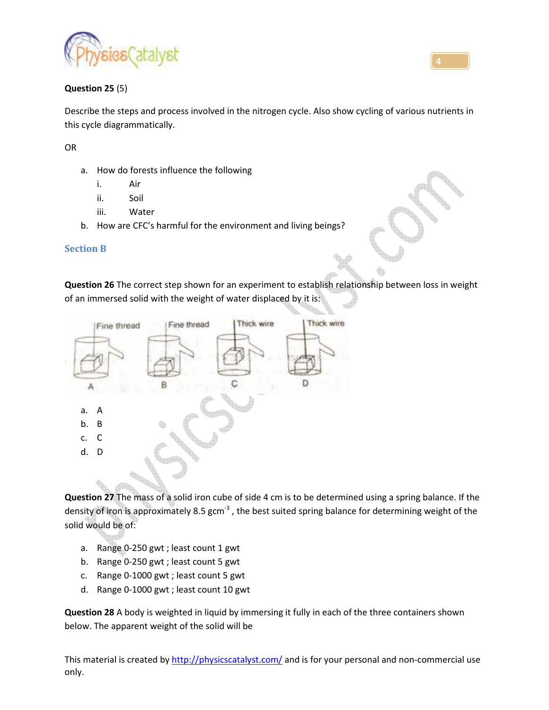

## **Question 25** (5)

Describe the steps and process involved in the nitrogen cycle. Also show cycling of various nutrients in this cycle diagrammatically.

OR

- a. How do forests influence the following
	- i. Air
	- ii. Soil
	- iii. Water
- b. How are CFC's harmful for the environment and living beings?

## **Section B**

**Question 26** The correct step shown for an experiment to establish relationship between loss in weight of an immersed solid with the weight of water displaced by it is:



**Question 27** The mass of a solid iron cube of side 4 cm is to be determined using a spring balance. If the density of iron is approximately 8.5 gcm<sup>-3</sup>, the best suited spring balance for determining weight of the solid would be of:

- a. Range 0-250 gwt ; least count 1 gwt
- b. Range 0-250 gwt ; least count 5 gwt
- c. Range 0-1000 gwt ; least count 5 gwt
- d. Range 0-1000 gwt ; least count 10 gwt

**Question 28** A body is weighted in liquid by immersing it fully in each of the three containers shown below. The apparent weight of the solid will be

This material is created by http://physicscatalyst.com/ and is for your personal and non-commercial use only.